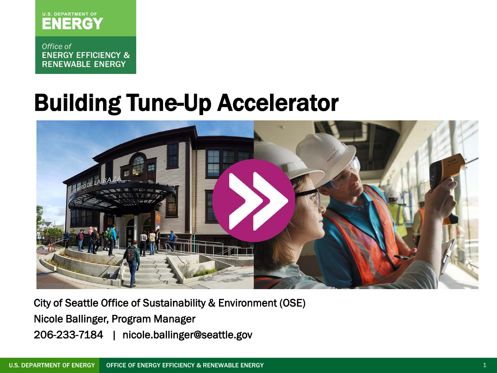

Office of **ENERGY EFFICIENCY & RENEWABLE ENERGY** 

# Building Tune-Up Accelerator



City of Seattle Office of Sustainability & Environment (OSE) Nicole Ballinger, Program Manager 206-233-7184 | nicole.ballinger@seattle.gov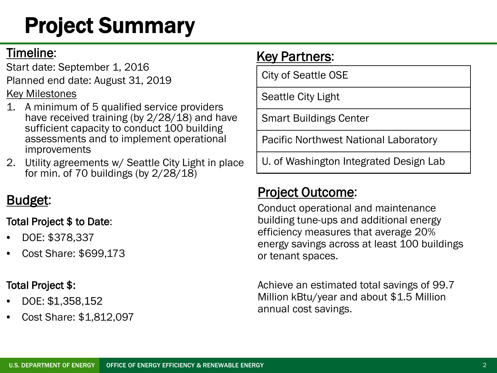# Project Summary

#### Timeline:

Start date: September 1, 2016 Planned end date: August 31, 2019

Key Milestones

- 1. A minimum of 5 qualified service providers have received training (by 2/28/18) and have sufficient capacity to conduct 100 building assessments and to implement operational improvements
- 2. Utility agreements w/ Seattle City Light in place for min. of 70 buildings (by  $2/28/18$ )

### Budget:

#### Total Project \$ to Date:

- DOE: \$378,337
- Cost Share: \$699,173

#### Total Project \$:

- DOE: \$1,358,152
- Cost Share: \$1,812,097

### **Key Partners:**

City of Seattle OSE

Seattle City Light

Smart Buildings Center

Pacific Northwest National Laboratory

U. of Washington Integrated Design Lab

### Project Outcome:

Conduct operational and maintenance building tune-ups and additional energy efficiency measures that average 20% energy savings across at least 100 buildings or tenant spaces.

Achieve an estimated total savings of 99.7 Million kBtu/year and about \$1.5 Million annual cost savings.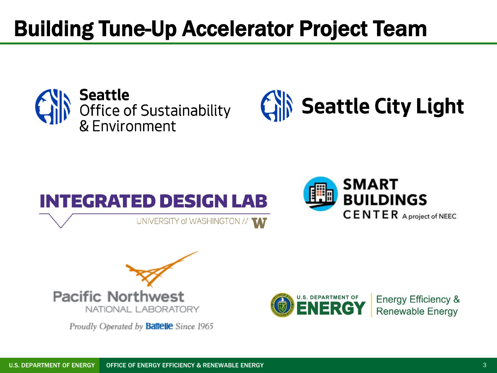# Building Tune-Up Accelerator Project Team







SMART **BUILDINGS CENTER** A project of NEEC



Proudly Operated by **Battelle** Since 1965



**Energy Efficiency & Renewable Energy**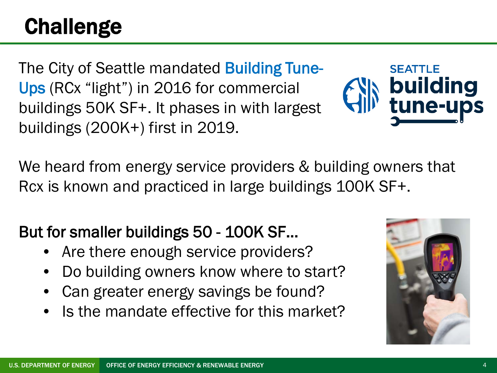# **Challenge**

The City of Seattle mandated **Building Tune-**Ups (RCx "light") in 2016 for commercial buildings 50K SF+. It phases in with largest buildings (200K+) first in 2019.



We heard from energy service providers & building owners that Rcx is known and practiced in large buildings 100K SF+.

### But for smaller buildings 50 - 100K SF…

- Are there enough service providers?
- Do building owners know where to start?
- Can greater energy savings be found?
- Is the mandate effective for this market?

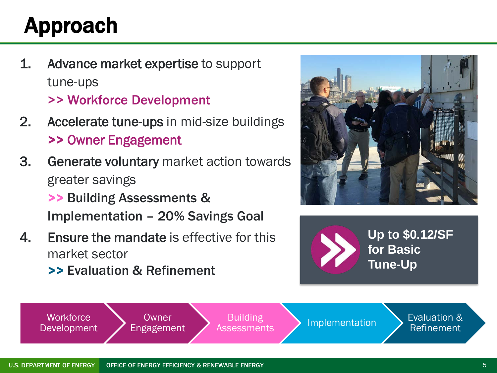# Approach

- 1. Advance market expertise to support tune-ups >> Workforce Development
- 2. Accelerate tune-ups in mid-size buildings >> Owner Engagement
- 3. Generate voluntary market action towards greater savings

>> Building Assessments & Implementation – 20% Savings Goal

- 4. Ensure the mandate is effective for this market sector
	- >> Evaluation & Refinement





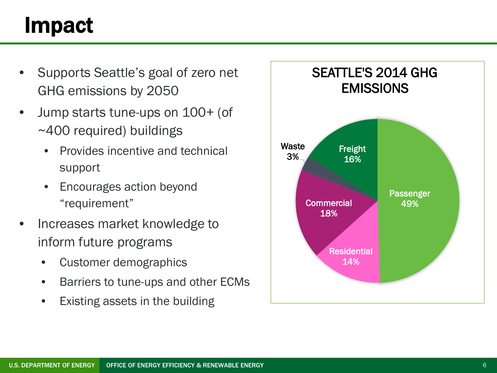# Impact

- Supports Seattle's goal of zero net GHG emissions by 2050
- Jump starts tune-ups on 100+ (of ~400 required) buildings
	- Provides incentive and technical support
	- Encourages action beyond "requirement"
- Increases market knowledge to inform future programs
	- Customer demographics
	- Barriers to tune-ups and other ECMs
	- Existing assets in the building

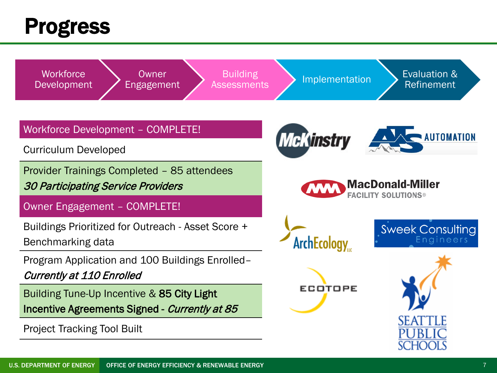### Progress

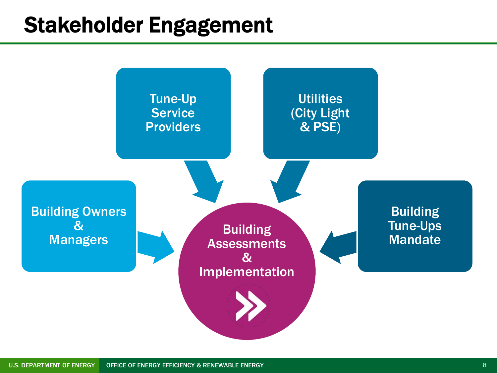### Stakeholder Engagement

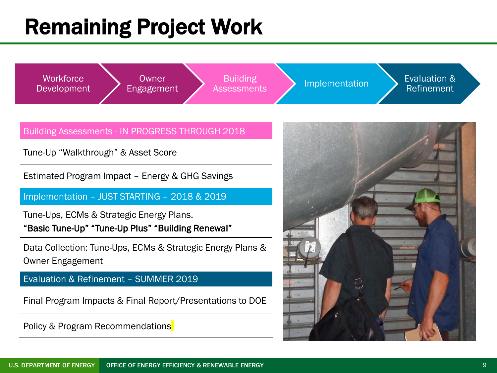# Remaining Project Work



#### Building Assessments - IN PROGRESS THROUGH 2018

Tune-Up "Walkthrough" & Asset Score

Estimated Program Impact – Energy & GHG Savings

Implementation – JUST STARTING – 2018 & 2019

Tune-Ups, ECMs & Strategic Energy Plans. "Basic Tune-Up" "Tune-Up Plus" "Building Renewal"

Data Collection: Tune-Ups, ECMs & Strategic Energy Plans & Owner Engagement

Evaluation & Refinement – SUMMER 2019

Final Program Impacts & Final Report/Presentations to DOE

Policy & Program Recommendations

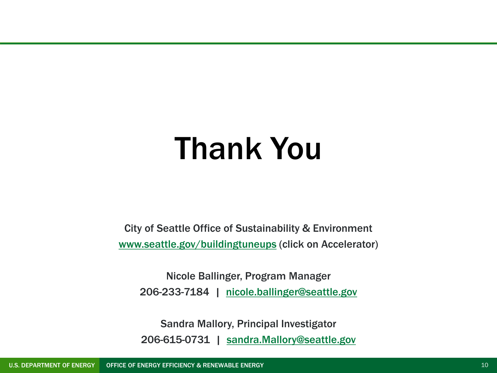# Thank You

City of Seattle Office of Sustainability & Environment [www.seattle.gov/buildingtuneups](http://www.seattle.gov/buildingtuneups) (click on Accelerator)

Nicole Ballinger, Program Manager 206-233-7184 | [nicole.ballinger@seattle.gov](mailto:nicole.ballinger@seattle.gov)

Sandra Mallory, Principal Investigator 206-615-0731 | [sandra.Mallory@seattle.gov](mailto:sandra.Mallory@seattle.gov)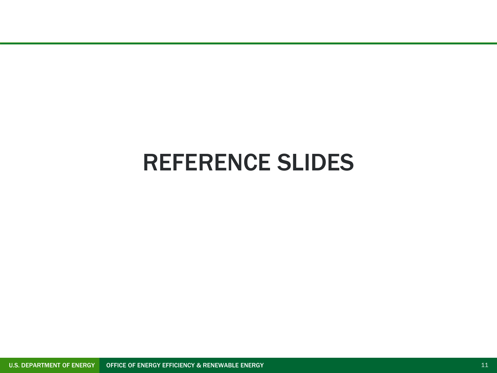### REFERENCE SLIDES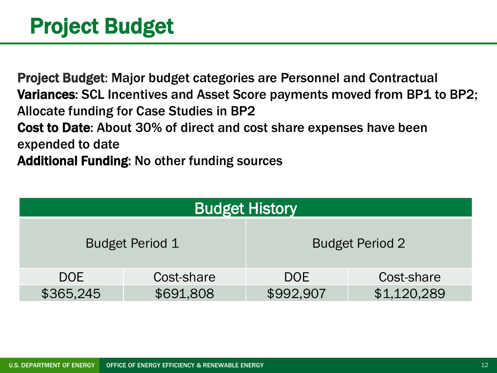### Project Budget

Project Budget: Major budget categories are Personnel and Contractual Variances: SCL Incentives and Asset Score payments moved from BP1 to BP2; Allocate funding for Case Studies in BP2 Cost to Date: About 30% of direct and cost share expenses have been expended to date Additional Funding: No other funding sources

| <b>Budget History</b>  |            |                        |             |  |  |  |  |  |  |
|------------------------|------------|------------------------|-------------|--|--|--|--|--|--|
| <b>Budget Period 1</b> |            | <b>Budget Period 2</b> |             |  |  |  |  |  |  |
| <b>DOE</b>             | Cost-share | <b>DOE</b>             | Cost-share  |  |  |  |  |  |  |
| \$365,245              | \$691,808  | \$992,907              | \$1,120,289 |  |  |  |  |  |  |